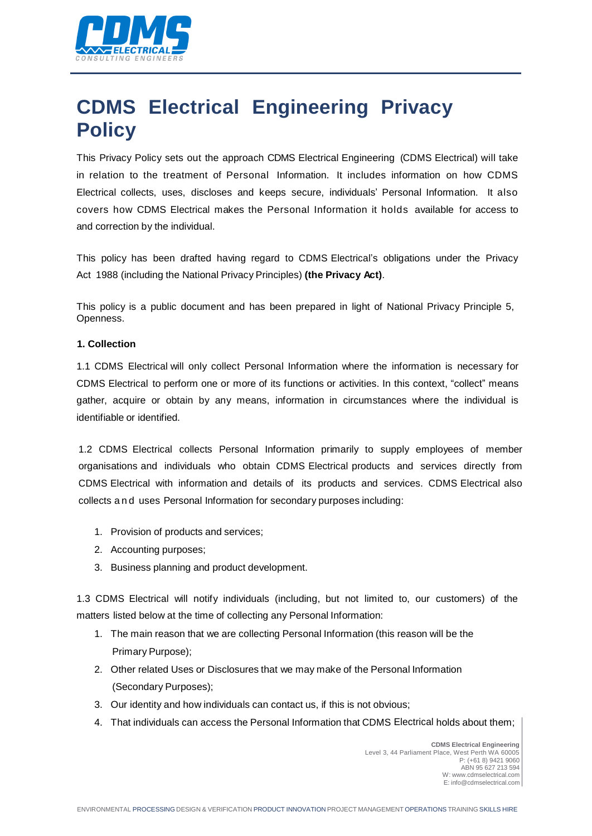

# **CDMS Electrical Engineering Privacy Policy**

This Privacy Policy sets out the approach CDMS Electrical Engineering (CDMS Electrical) will take in relation to the treatment of Personal Information. It includes information on how CDMS Electrical collects, uses, discloses and keeps secure, individuals' Personal Information. It also covers how CDMS Electrical makes the Personal Information it holds available for access to and correction by the individual.

This policy has been drafted having regard to CDMS Electrical's obligations under the Privacy Act 1988 (including the National Privacy Principles) **(the Privacy Act)**.

This policy is a public document and has been prepared in light of National Privacy Principle 5, Openness.

### **1. Collection**

1.1 CDMS Electrical will only collect Personal Information where the information is necessary for CDMS Electrical to perform one or more of its functions or activities. In this context, "collect" means gather, acquire or obtain by any means, information in circumstances where the individual is identifiable or identified.

1.2 CDMS Electrical collects Personal Information primarily to supply employees of member organisations and individuals who obtain CDMS Electrical products and services directly from CDMS Electrical with information and details of its products and services. CDMS Electrical also collects and uses Personal Information for secondary purposes including:

- 1. Provision of products and services;
- 2. Accounting purposes;
- 3. Business planning and product development.

1.3 CDMS Electrical will notify individuals (including, but not limited to, our customers) of the matters listed below at the time of collecting any Personal Information:

- 1. The main reason that we are collecting Personal Information (this reason will be the Primary Purpose);
- 2. Other related Uses or Disclosures that we may make of the Personal Information (Secondary Purposes);
- 3. Our identity and how individuals can contact us, if this is not obvious;
- 4. That individuals can access the Personal Information that CDMS Electrical holds about them;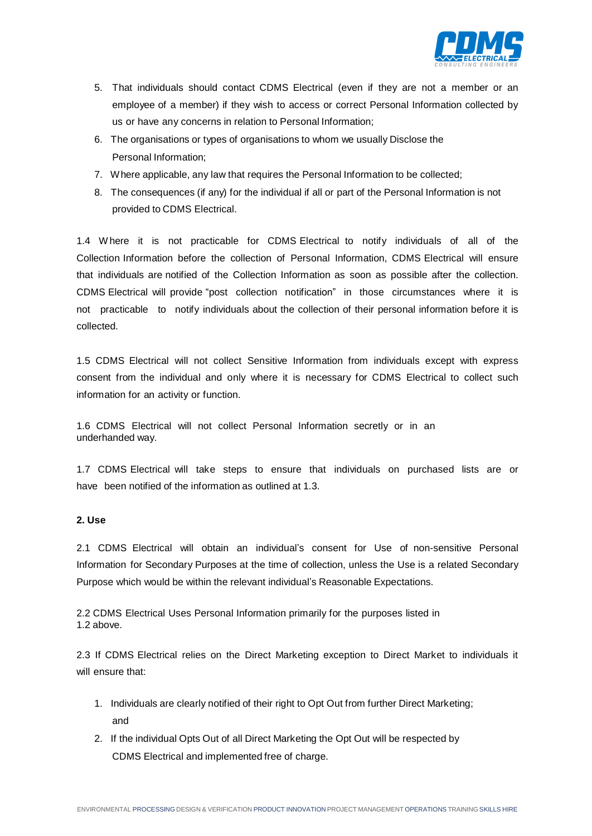

- 5. That individuals should contact CDMS Electrical (even if they are not a member or an employee of a member) if they wish to access or correct Personal Information collected by us or have any concerns in relation to Personal Information;
- 6. The organisations or types of organisations to whom we usually Disclose the Personal Information;
- 7. Where applicable, any law that requires the Personal Information to be collected;
- 8. The consequences (if any) for the individual if all or part of the Personal Information is not provided to CDMS Electrical.

1.4 W here it is not practicable for CDMS Electrical to notify individuals of all of the Collection Information before the collection of Personal Information, CDMS Electrical will ensure that individuals are notified of the Collection Information as soon as possible after the collection. CDMS Electrical will provide "post collection notification" in those circumstances where it is not practicable to notify individuals about the collection of their personal information before it is collected.

1.5 CDMS Electrical will not collect Sensitive Information from individuals except with express consent from the individual and only where it is necessary for CDMS Electrical to collect such information for an activity or function.

1.6 CDMS Electrical will not collect Personal Information secretly or in an underhanded way.

1.7 CDMS Electrical will take steps to ensure that individuals on purchased lists are or have been notified of the information as outlined at 1.3.

# **2. Use**

2.1 CDMS Electrical will obtain an individual's consent for Use of non-sensitive Personal Information for Secondary Purposes at the time of collection, unless the Use is a related Secondary Purpose which would be within the relevant individual's Reasonable Expectations.

2.2 CDMS Electrical Uses Personal Information primarily for the purposes listed in 1.2 above.

2.3 If CDMS Electrical relies on the Direct Marketing exception to Direct Market to individuals it will ensure that:

- 1. Individuals are clearly notified of their right to Opt Out from further Direct Marketing; and
- 2. If the individual Opts Out of all Direct Marketing the Opt Out will be respected by CDMS Electrical and implemented free of charge.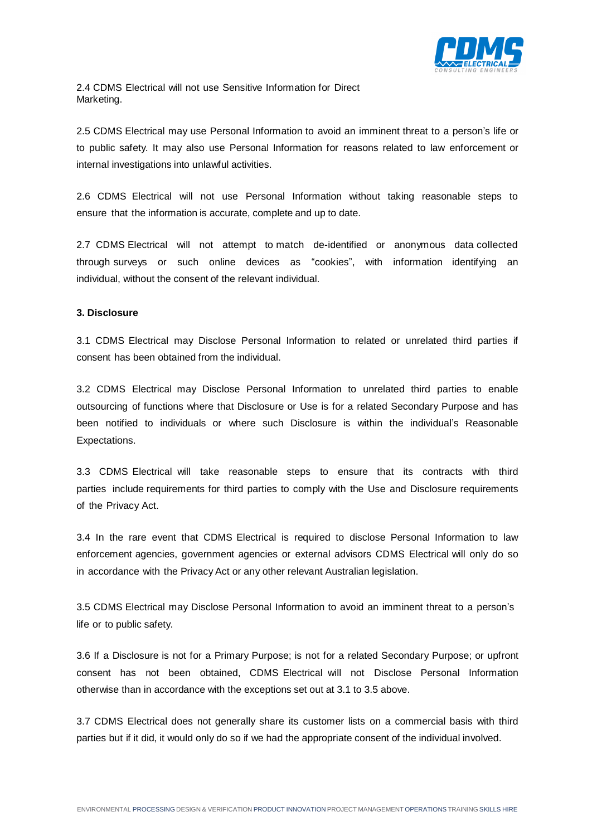

2.4 CDMS Electrical will not use Sensitive Information for Direct Marketing.

2.5 CDMS Electrical may use Personal Information to avoid an imminent threat to a person's life or to public safety. It may also use Personal Information for reasons related to law enforcement or internal investigations into unlawful activities.

2.6 CDMS Electrical will not use Personal Information without taking reasonable steps to ensure that the information is accurate, complete and up to date.

2.7 CDMS Electrical will not attempt to match de-identified or anonymous data collected through surveys or such online devices as "cookies", with information identifying an individual, without the consent of the relevant individual.

### **3. Disclosure**

3.1 CDMS Electrical may Disclose Personal Information to related or unrelated third parties if consent has been obtained from the individual.

3.2 CDMS Electrical may Disclose Personal Information to unrelated third parties to enable outsourcing of functions where that Disclosure or Use is for a related Secondary Purpose and has been notified to individuals or where such Disclosure is within the individual's Reasonable Expectations.

3.3 CDMS Electrical will take reasonable steps to ensure that its contracts with third parties include requirements for third parties to comply with the Use and Disclosure requirements of the Privacy Act.

3.4 In the rare event that CDMS Electrical is required to disclose Personal Information to law enforcement agencies, government agencies or external advisors CDMS Electrical will only do so in accordance with the Privacy Act or any other relevant Australian legislation.

3.5 CDMS Electrical may Disclose Personal Information to avoid an imminent threat to a person's life or to public safety.

3.6 If a Disclosure is not for a Primary Purpose; is not for a related Secondary Purpose; or upfront consent has not been obtained, CDMS Electrical will not Disclose Personal Information otherwise than in accordance with the exceptions set out at 3.1 to 3.5 above.

3.7 CDMS Electrical does not generally share its customer lists on a commercial basis with third parties but if it did, it would only do so if we had the appropriate consent of the individual involved.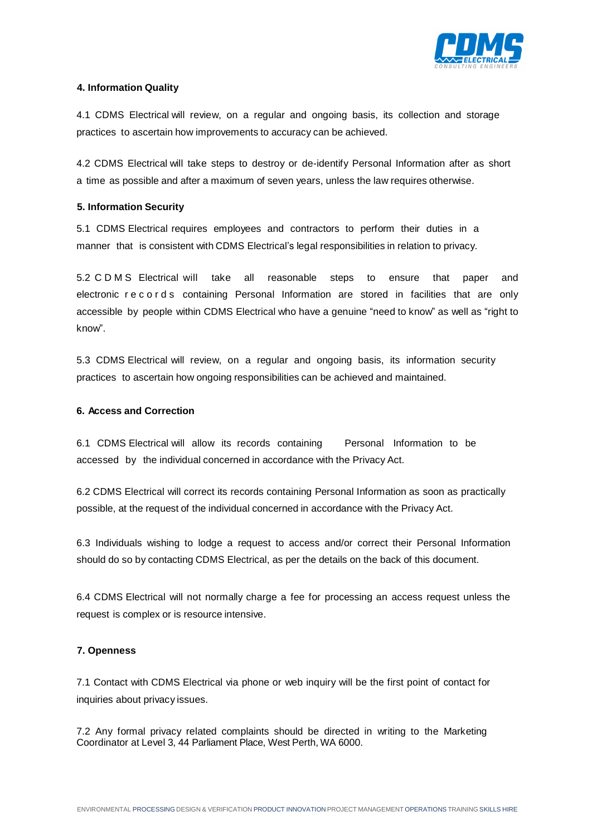

# **4. Information Quality**

4.1 CDMS Electrical will review, on a regular and ongoing basis, its collection and storage practices to ascertain how improvements to accuracy can be achieved.

4.2 CDMS Electrical will take steps to destroy or de-identify Personal Information after as short a time as possible and after a maximum of seven years, unless the law requires otherwise.

# **5. Information Security**

5.1 CDMS Electrical requires employees and contractors to perform their duties in a manner that is consistent with CDMS Electrical's legal responsibilities in relation to privacy.

5.2 C D M S Electrical will take all reasonable steps to ensure that paper and electronic records containing Personal Information are stored in facilities that are only accessible by people within CDMS Electrical who have a genuine "need to know" as well as "right to know".

5.3 CDMS Electrical will review, on a regular and ongoing basis, its information security practices to ascertain how ongoing responsibilities can be achieved and maintained.

## **6. Access and Correction**

6.1 CDMS Electrical will allow its records containing Personal Information to be accessed by the individual concerned in accordance with the Privacy Act.

6.2 CDMS Electrical will correct its records containing Personal Information as soon as practically possible, at the request of the individual concerned in accordance with the Privacy Act.

6.3 Individuals wishing to lodge a request to access and/or correct their Personal Information should do so by contacting CDMS Electrical, as per the details on the back of this document.

6.4 CDMS Electrical will not normally charge a fee for processing an access request unless the request is complex or is resource intensive.

## **7. Openness**

7.1 Contact with CDMS Electrical via phone or web inquiry will be the first point of contact for inquiries about privacy issues.

7.2 Any formal privacy related complaints should be directed in writing to the Marketing Coordinator at Level 3, 44 Parliament Place, West Perth, WA 6000.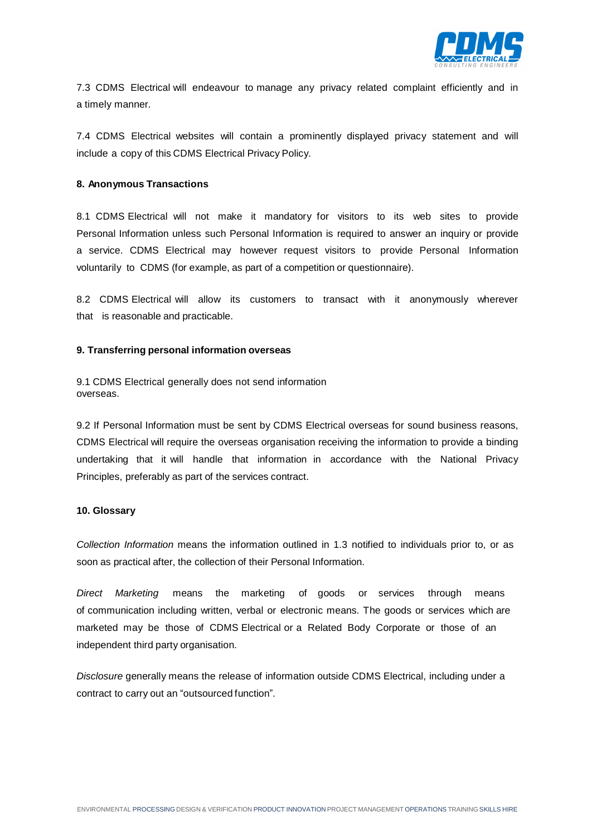

7.3 CDMS Electrical will endeavour to manage any privacy related complaint efficiently and in a timely manner.

7.4 CDMS Electrical websites will contain a prominently displayed privacy statement and will include a copy of this CDMS Electrical Privacy Policy.

#### **8. Anonymous Transactions**

8.1 CDMS Electrical will not make it mandatory for visitors to its web sites to provide Personal Information unless such Personal Information is required to answer an inquiry or provide a service. CDMS Electrical may however request visitors to provide Personal Information voluntarily to CDMS (for example, as part of a competition or questionnaire).

8.2 CDMS Electrical will allow its customers to transact with it anonymously wherever that is reasonable and practicable.

#### **9. Transferring personal information overseas**

9.1 CDMS Electrical generally does not send information overseas.

9.2 If Personal Information must be sent by CDMS Electrical overseas for sound business reasons, CDMS Electrical will require the overseas organisation receiving the information to provide a binding undertaking that it will handle that information in accordance with the National Privacy Principles, preferably as part of the services contract.

#### **10. Glossary**

*Collection Information* means the information outlined in 1.3 notified to individuals prior to, or as soon as practical after, the collection of their Personal Information.

*Direct Marketing* means the marketing of goods or services through means of communication including written, verbal or electronic means. The goods or services which are marketed may be those of CDMS Electrical or a Related Body Corporate or those of an independent third party organisation.

*Disclosure* generally means the release of information outside CDMS Electrical, including under a contract to carry out an "outsourced function".